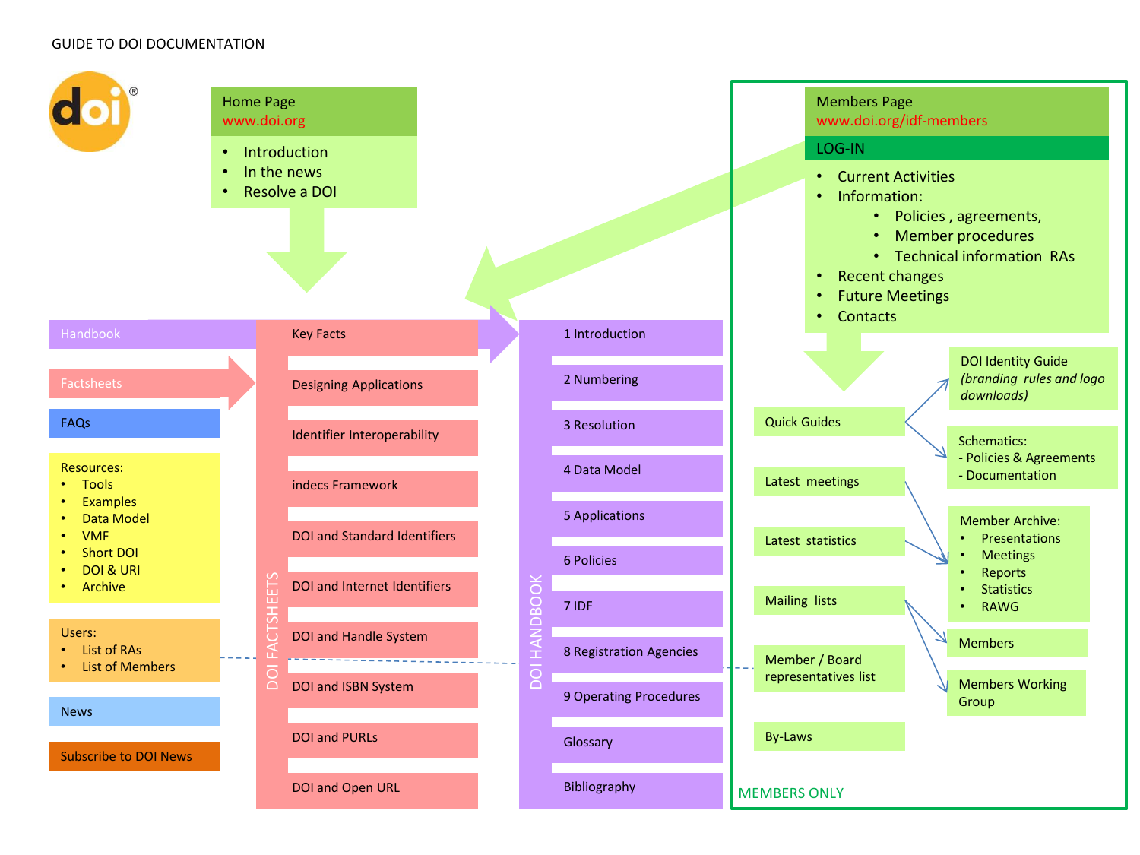## GUIDE TO DOI DOCUMENTATION